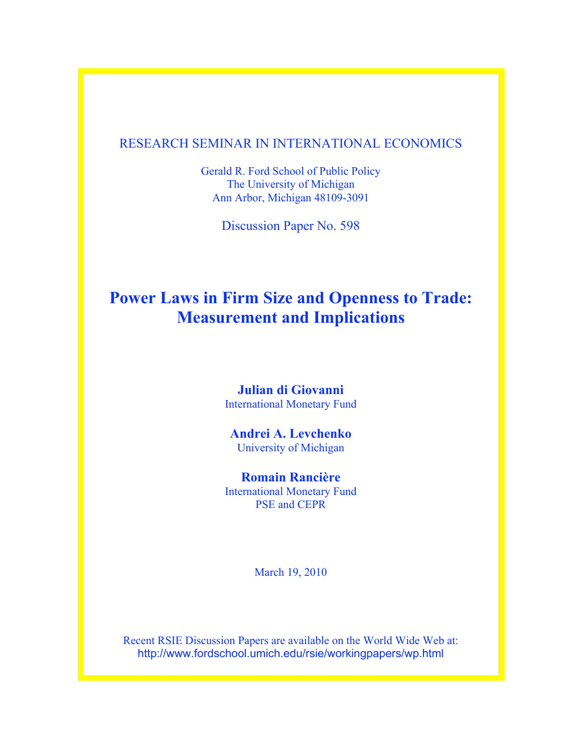## RESEARCH SEMINAR IN INTERNATIONAL ECONOMICS

Gerald R. Ford School of Public Policy The University of Michigan Ann Arbor, Michigan 48109-3091

Discussion Paper No. 598

# **Power Laws in Firm Size and Openness to Trade: Measurement and Implications**

## **Julian di Giovanni** International Monetary Fund

## **Andrei A. Levchenko** University of Michigan

# **Romain Rancière**

International Monetary Fund PSE and CEPR

March 19, 2010

Recent RSIE Discussion Papers are available on the World Wide Web at: http://www.fordschool.umich.edu/rsie/workingpapers/wp.html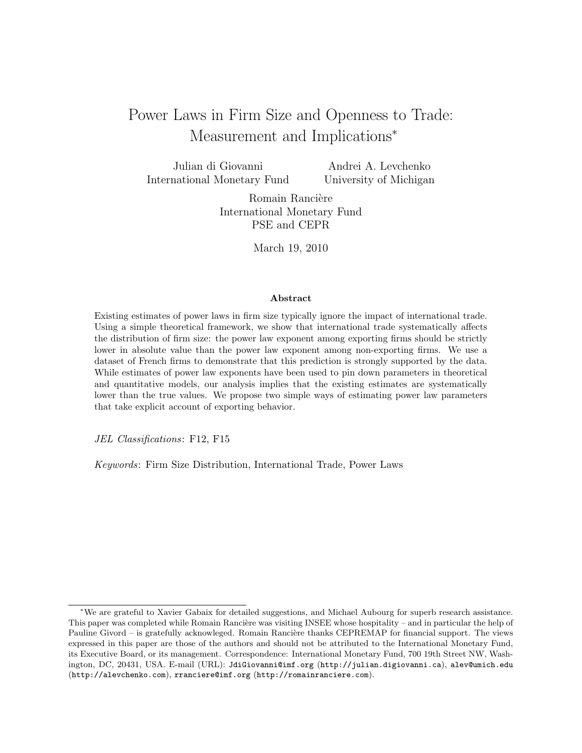# Power Laws in Firm Size and Openness to Trade: Measurement and Implications<sup>∗</sup>

Julian di Giovanni International Monetary Fund

Andrei A. Levchenko University of Michigan

Romain Rancière International Monetary Fund PSE and CEPR

March 19, 2010

#### Abstract

Existing estimates of power laws in firm size typically ignore the impact of international trade. Using a simple theoretical framework, we show that international trade systematically affects the distribution of firm size: the power law exponent among exporting firms should be strictly lower in absolute value than the power law exponent among non-exporting firms. We use a dataset of French firms to demonstrate that this prediction is strongly supported by the data. While estimates of power law exponents have been used to pin down parameters in theoretical and quantitative models, our analysis implies that the existing estimates are systematically lower than the true values. We propose two simple ways of estimating power law parameters that take explicit account of exporting behavior.

JEL Classifications: F12, F15

Keywords: Firm Size Distribution, International Trade, Power Laws

<sup>∗</sup>We are grateful to Xavier Gabaix for detailed suggestions, and Michael Aubourg for superb research assistance. This paper was completed while Romain Rancière was visiting INSEE whose hospitality – and in particular the help of Pauline Givord – is gratefully acknowleged. Romain Rancière thanks CEPREMAP for financial support. The views expressed in this paper are those of the authors and should not be attributed to the International Monetary Fund, its Executive Board, or its management. Correspondence: International Monetary Fund, 700 19th Street NW, Washington, DC, 20431, USA. E-mail (URL): JdiGiovanni@imf.org (http://julian.digiovanni.ca), alev@umich.edu (http://alevchenko.com), rranciere@imf.org (http://romainranciere.com).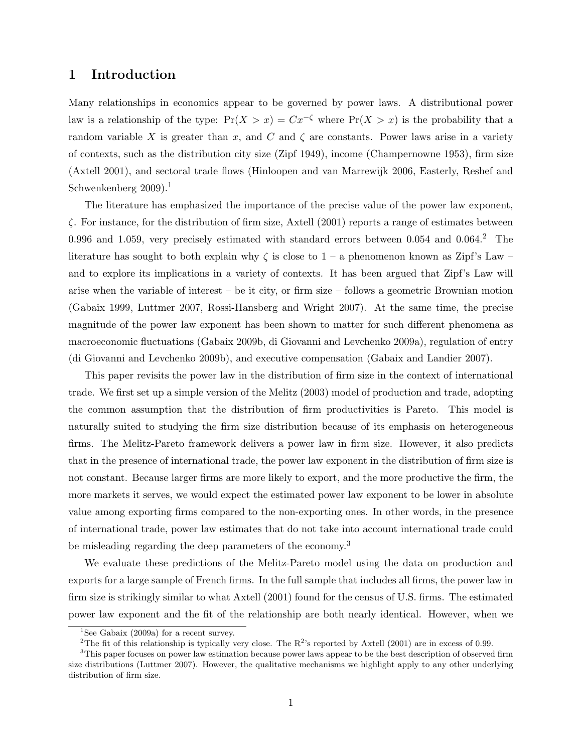## 1 Introduction

Many relationships in economics appear to be governed by power laws. A distributional power law is a relationship of the type:  $Pr(X > x) = Cx^{-\zeta}$  where  $Pr(X > x)$  is the probability that a random variable X is greater than x, and C and  $\zeta$  are constants. Power laws arise in a variety of contexts, such as the distribution city size (Zipf 1949), income (Champernowne 1953), firm size (Axtell 2001), and sectoral trade flows (Hinloopen and van Marrewijk 2006, Easterly, Reshef and Schwenkenberg 2009).<sup>1</sup>

The literature has emphasized the importance of the precise value of the power law exponent,  $\zeta$ . For instance, for the distribution of firm size, Axtell (2001) reports a range of estimates between 0.996 and 1.059, very precisely estimated with standard errors between 0.054 and 0.064.<sup>2</sup> The literature has sought to both explain why  $\zeta$  is close to 1 – a phenomenon known as Zipf's Law – and to explore its implications in a variety of contexts. It has been argued that Zipf's Law will arise when the variable of interest – be it city, or firm size – follows a geometric Brownian motion (Gabaix 1999, Luttmer 2007, Rossi-Hansberg and Wright 2007). At the same time, the precise magnitude of the power law exponent has been shown to matter for such different phenomena as macroeconomic fluctuations (Gabaix 2009b, di Giovanni and Levchenko 2009a), regulation of entry (di Giovanni and Levchenko 2009b), and executive compensation (Gabaix and Landier 2007).

This paper revisits the power law in the distribution of firm size in the context of international trade. We first set up a simple version of the Melitz (2003) model of production and trade, adopting the common assumption that the distribution of firm productivities is Pareto. This model is naturally suited to studying the firm size distribution because of its emphasis on heterogeneous firms. The Melitz-Pareto framework delivers a power law in firm size. However, it also predicts that in the presence of international trade, the power law exponent in the distribution of firm size is not constant. Because larger firms are more likely to export, and the more productive the firm, the more markets it serves, we would expect the estimated power law exponent to be lower in absolute value among exporting firms compared to the non-exporting ones. In other words, in the presence of international trade, power law estimates that do not take into account international trade could be misleading regarding the deep parameters of the economy.<sup>3</sup>

We evaluate these predictions of the Melitz-Pareto model using the data on production and exports for a large sample of French firms. In the full sample that includes all firms, the power law in firm size is strikingly similar to what Axtell (2001) found for the census of U.S. firms. The estimated power law exponent and the fit of the relationship are both nearly identical. However, when we

<sup>&</sup>lt;sup>1</sup>See Gabaix (2009a) for a recent survey.

<sup>&</sup>lt;sup>2</sup>The fit of this relationship is typically very close. The  $R^2$ 's reported by Axtell (2001) are in excess of 0.99.

<sup>&</sup>lt;sup>3</sup>This paper focuses on power law estimation because power laws appear to be the best description of observed firm size distributions (Luttmer 2007). However, the qualitative mechanisms we highlight apply to any other underlying distribution of firm size.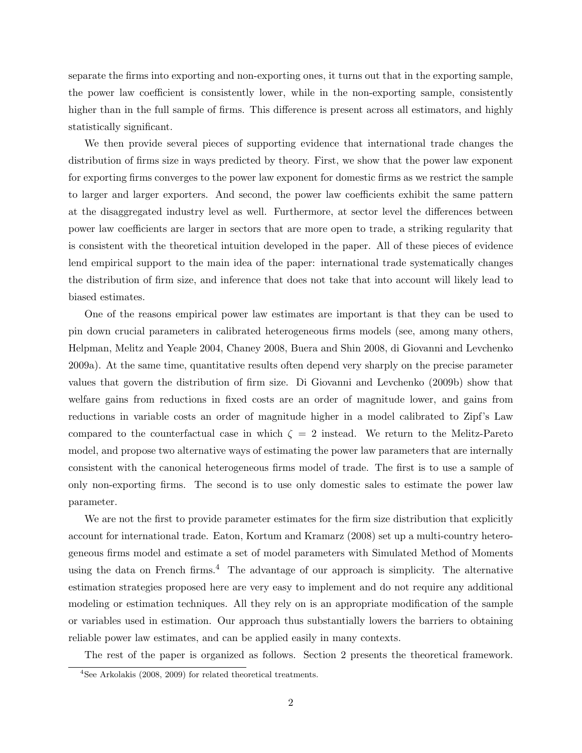separate the firms into exporting and non-exporting ones, it turns out that in the exporting sample, the power law coefficient is consistently lower, while in the non-exporting sample, consistently higher than in the full sample of firms. This difference is present across all estimators, and highly statistically significant.

We then provide several pieces of supporting evidence that international trade changes the distribution of firms size in ways predicted by theory. First, we show that the power law exponent for exporting firms converges to the power law exponent for domestic firms as we restrict the sample to larger and larger exporters. And second, the power law coefficients exhibit the same pattern at the disaggregated industry level as well. Furthermore, at sector level the differences between power law coefficients are larger in sectors that are more open to trade, a striking regularity that is consistent with the theoretical intuition developed in the paper. All of these pieces of evidence lend empirical support to the main idea of the paper: international trade systematically changes the distribution of firm size, and inference that does not take that into account will likely lead to biased estimates.

One of the reasons empirical power law estimates are important is that they can be used to pin down crucial parameters in calibrated heterogeneous firms models (see, among many others, Helpman, Melitz and Yeaple 2004, Chaney 2008, Buera and Shin 2008, di Giovanni and Levchenko 2009a). At the same time, quantitative results often depend very sharply on the precise parameter values that govern the distribution of firm size. Di Giovanni and Levchenko (2009b) show that welfare gains from reductions in fixed costs are an order of magnitude lower, and gains from reductions in variable costs an order of magnitude higher in a model calibrated to Zipf's Law compared to the counterfactual case in which  $\zeta = 2$  instead. We return to the Melitz-Pareto model, and propose two alternative ways of estimating the power law parameters that are internally consistent with the canonical heterogeneous firms model of trade. The first is to use a sample of only non-exporting firms. The second is to use only domestic sales to estimate the power law parameter.

We are not the first to provide parameter estimates for the firm size distribution that explicitly account for international trade. Eaton, Kortum and Kramarz (2008) set up a multi-country heterogeneous firms model and estimate a set of model parameters with Simulated Method of Moments using the data on French firms.<sup>4</sup> The advantage of our approach is simplicity. The alternative estimation strategies proposed here are very easy to implement and do not require any additional modeling or estimation techniques. All they rely on is an appropriate modification of the sample or variables used in estimation. Our approach thus substantially lowers the barriers to obtaining reliable power law estimates, and can be applied easily in many contexts.

The rest of the paper is organized as follows. Section 2 presents the theoretical framework.

<sup>4</sup>See Arkolakis (2008, 2009) for related theoretical treatments.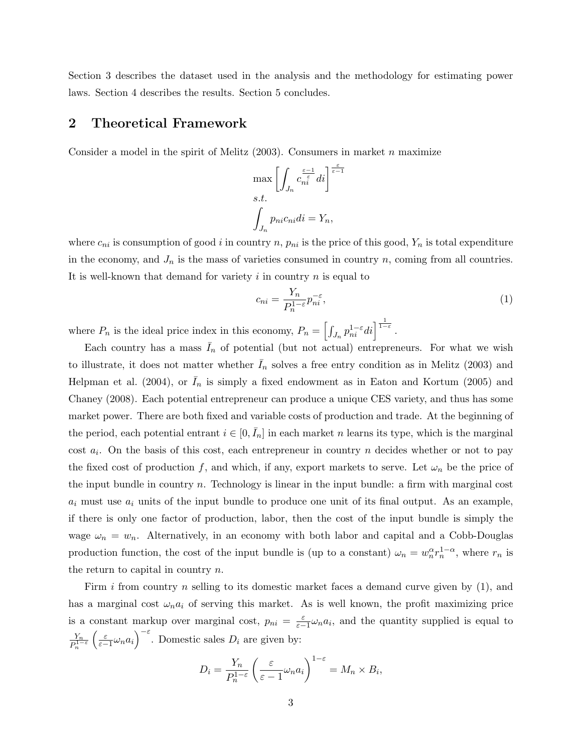Section 3 describes the dataset used in the analysis and the methodology for estimating power laws. Section 4 describes the results. Section 5 concludes.

#### 2 Theoretical Framework

Consider a model in the spirit of Melitz  $(2003)$ . Consumers in market n maximize

$$
\max \left[ \int_{J_n} c_{ni}^{\frac{\varepsilon - 1}{\varepsilon}} di \right]^{\frac{\varepsilon}{\varepsilon - 1}}
$$
  
s.t.  

$$
\int_{J_n} p_{ni} c_{ni} di = Y_n,
$$

where  $c_{ni}$  is consumption of good i in country n,  $p_{ni}$  is the price of this good,  $Y_n$  is total expenditure in the economy, and  $J_n$  is the mass of varieties consumed in country n, coming from all countries. It is well-known that demand for variety  $i$  in country  $n$  is equal to

$$
c_{ni} = \frac{Y_n}{P_n^{1-\varepsilon}} p_{ni}^{-\varepsilon},\tag{1}
$$

where  $P_n$  is the ideal price index in this economy,  $P_n = \left[\int_{J_n} p_{ni}^{1-\varepsilon} di \right]^{\frac{1}{1-\varepsilon}}$ .

Each country has a mass  $I_n$  of potential (but not actual) entrepreneurs. For what we wish to illustrate, it does not matter whether  $I_n$  solves a free entry condition as in Melitz (2003) and Helpman et al. (2004), or  $I_n$  is simply a fixed endowment as in Eaton and Kortum (2005) and Chaney (2008). Each potential entrepreneur can produce a unique CES variety, and thus has some market power. There are both fixed and variable costs of production and trade. At the beginning of the period, each potential entrant  $i \in [0, \bar{I}_n]$  in each market n learns its type, which is the marginal cost  $a_i$ . On the basis of this cost, each entrepreneur in country n decides whether or not to pay the fixed cost of production f, and which, if any, export markets to serve. Let  $\omega_n$  be the price of the input bundle in country  $n$ . Technology is linear in the input bundle: a firm with marginal cost  $a_i$  must use  $a_i$  units of the input bundle to produce one unit of its final output. As an example, if there is only one factor of production, labor, then the cost of the input bundle is simply the wage  $\omega_n = w_n$ . Alternatively, in an economy with both labor and capital and a Cobb-Douglas production function, the cost of the input bundle is (up to a constant)  $\omega_n = w_n^{\alpha} r_n^{1-\alpha}$ , where  $r_n$  is the return to capital in country  $n$ .

Firm i from country n selling to its domestic market faces a demand curve given by  $(1)$ , and has a marginal cost  $\omega_n a_i$  of serving this market. As is well known, the profit maximizing price is a constant markup over marginal cost,  $p_{ni} = \frac{\varepsilon}{\varepsilon - 1} \omega_n a_i$ , and the quantity supplied is equal to  $Y_n$  $\overline{P_n^{1-\varepsilon}}$  $\left(\frac{\varepsilon}{\varepsilon-1}\omega_n a_i\right)^{-\varepsilon}$ . Domestic sales  $D_i$  are given by:

$$
D_i = \frac{Y_n}{P_n^{1-\varepsilon}} \left( \frac{\varepsilon}{\varepsilon - 1} \omega_n a_i \right)^{1-\varepsilon} = M_n \times B_i,
$$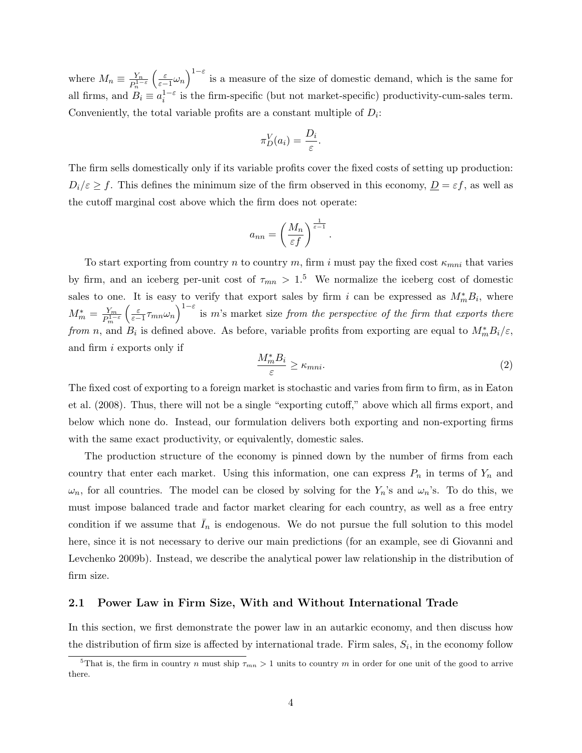where  $M_n \equiv \frac{Y_n}{D^{1-n}}$  $\overline{P_n^{1-\varepsilon}}$  $\left(\frac{\varepsilon}{\varepsilon-1}\omega_n\right)^{1-\varepsilon}$  is a measure of the size of domestic demand, which is the same for all firms, and  $B_i \equiv a_i^{1-\epsilon}$  is the firm-specific (but not market-specific) productivity-cum-sales term. Conveniently, the total variable profits are a constant multiple of  $D_i$ :

$$
\pi_D^V(a_i) = \frac{D_i}{\varepsilon}.
$$

The firm sells domestically only if its variable profits cover the fixed costs of setting up production:  $D_i/\varepsilon \ge f$ . This defines the minimum size of the firm observed in this economy,  $D = \varepsilon f$ , as well as the cutoff marginal cost above which the firm does not operate:

$$
a_{nn} = \left(\frac{M_n}{\varepsilon f}\right)^{\frac{1}{\varepsilon - 1}}.
$$

To start exporting from country n to country m, firm i must pay the fixed cost  $\kappa_{mni}$  that varies by firm, and an iceberg per-unit cost of  $\tau_{mn} > 1.5$  We normalize the iceberg cost of domestic sales to one. It is easy to verify that export sales by firm i can be expressed as  $M_m^* B_i$ , where  $M_m^* = \frac{Y_m}{P_1^{1-}}$  $\overline{P_m^{1-\varepsilon}}$  $\left(\frac{\varepsilon}{\varepsilon-1}\tau_{mn}\omega_n\right)^{1-\varepsilon}$  is m's market size from the perspective of the firm that exports there from n, and  $B_i$  is defined above. As before, variable profits from exporting are equal to  $M_m^* B_i/\varepsilon$ , and firm i exports only if

$$
\frac{M_m^* B_i}{\varepsilon} \ge \kappa_{mni}.\tag{2}
$$

The fixed cost of exporting to a foreign market is stochastic and varies from firm to firm, as in Eaton et al. (2008). Thus, there will not be a single "exporting cutoff," above which all firms export, and below which none do. Instead, our formulation delivers both exporting and non-exporting firms with the same exact productivity, or equivalently, domestic sales.

The production structure of the economy is pinned down by the number of firms from each country that enter each market. Using this information, one can express  $P_n$  in terms of  $Y_n$  and  $\omega_n$ , for all countries. The model can be closed by solving for the  $Y_n$ 's and  $\omega_n$ 's. To do this, we must impose balanced trade and factor market clearing for each country, as well as a free entry condition if we assume that  $I_n$  is endogenous. We do not pursue the full solution to this model here, since it is not necessary to derive our main predictions (for an example, see di Giovanni and Levchenko 2009b). Instead, we describe the analytical power law relationship in the distribution of firm size.

#### 2.1 Power Law in Firm Size, With and Without International Trade

In this section, we first demonstrate the power law in an autarkic economy, and then discuss how the distribution of firm size is affected by international trade. Firm sales,  $S_i$ , in the economy follow

<sup>&</sup>lt;sup>5</sup>That is, the firm in country n must ship  $\tau_{mn} > 1$  units to country m in order for one unit of the good to arrive there.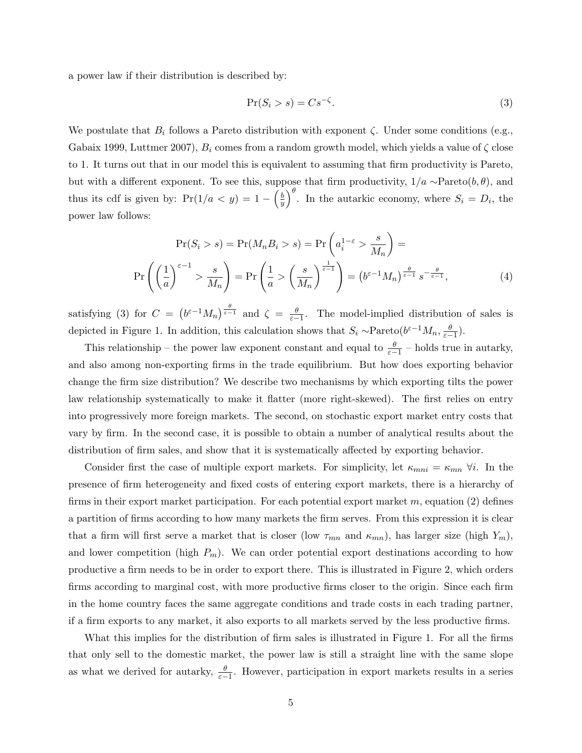a power law if their distribution is described by:

$$
\Pr(S_i > s) = Cs^{-\zeta}.\tag{3}
$$

We postulate that  $B_i$  follows a Pareto distribution with exponent  $\zeta$ . Under some conditions (e.g., Gabaix 1999, Luttmer 2007),  $B_i$  comes from a random growth model, which yields a value of  $\zeta$  close to 1. It turns out that in our model this is equivalent to assuming that firm productivity is Pareto, but with a different exponent. To see this, suppose that firm productivity,  $1/a \sim \text{Pareto}(b, \theta)$ , and thus its cdf is given by:  $Pr(1/a < y) = 1 - \left(\frac{b}{a}\right)$  $(\frac{b}{y})^{\theta}$ . In the autarkic economy, where  $S_i = D_i$ , the power law follows:

$$
\Pr(S_i > s) = \Pr(M_n B_i > s) = \Pr\left(a_i^{1-\varepsilon} > \frac{s}{M_n}\right) = \Pr\left(\left(\frac{1}{a}\right)^{\varepsilon-1} > \frac{s}{M_n}\right) = \Pr\left(\frac{1}{a} > \left(\frac{s}{M_n}\right)^{\frac{1}{\varepsilon-1}}\right) = \left(b^{\varepsilon-1} M_n\right)^{\frac{\theta}{\varepsilon-1}} s^{-\frac{\theta}{\varepsilon-1}},\tag{4}
$$

satisfying (3) for  $C = (b^{\varepsilon-1}M_n)^{\frac{\theta}{\varepsilon-1}}$  and  $\zeta = \frac{\theta}{\varepsilon-1}$ . The model-implied distribution of sales is depicted in Figure 1. In addition, this calculation shows that  $S_i \sim \text{Pareto}(b^{\varepsilon-1}M_n, \frac{\theta}{\varepsilon-1})$ .

This relationship – the power law exponent constant and equal to  $\frac{\theta}{\varepsilon-1}$  – holds true in autarky, and also among non-exporting firms in the trade equilibrium. But how does exporting behavior change the firm size distribution? We describe two mechanisms by which exporting tilts the power law relationship systematically to make it flatter (more right-skewed). The first relies on entry into progressively more foreign markets. The second, on stochastic export market entry costs that vary by firm. In the second case, it is possible to obtain a number of analytical results about the distribution of firm sales, and show that it is systematically affected by exporting behavior.

Consider first the case of multiple export markets. For simplicity, let  $\kappa_{mni} = \kappa_{mn} \ \forall i$ . In the presence of firm heterogeneity and fixed costs of entering export markets, there is a hierarchy of firms in their export market participation. For each potential export market  $m$ , equation (2) defines a partition of firms according to how many markets the firm serves. From this expression it is clear that a firm will first serve a market that is closer (low  $\tau_{mn}$  and  $\kappa_{mn}$ ), has larger size (high  $Y_m$ ), and lower competition (high  $P_m$ ). We can order potential export destinations according to how productive a firm needs to be in order to export there. This is illustrated in Figure 2, which orders firms according to marginal cost, with more productive firms closer to the origin. Since each firm in the home country faces the same aggregate conditions and trade costs in each trading partner, if a firm exports to any market, it also exports to all markets served by the less productive firms.

What this implies for the distribution of firm sales is illustrated in Figure 1. For all the firms that only sell to the domestic market, the power law is still a straight line with the same slope as what we derived for autarky,  $\frac{\theta}{\varepsilon-1}$ . However, participation in export markets results in a series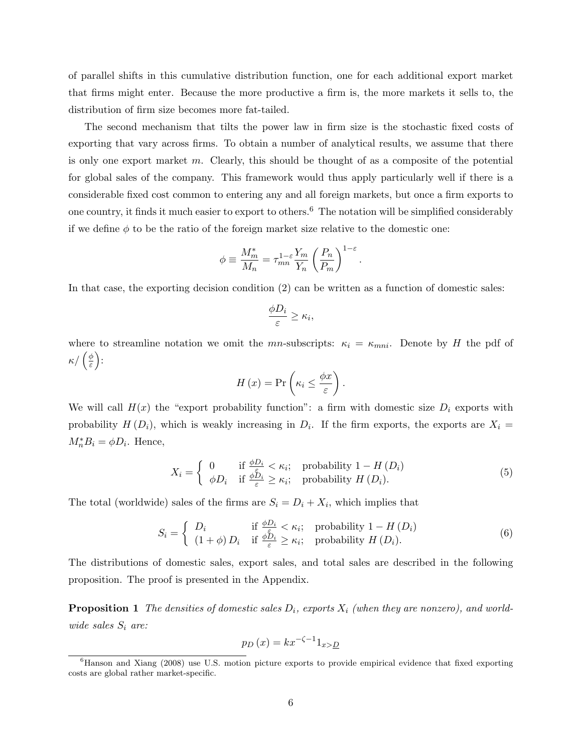of parallel shifts in this cumulative distribution function, one for each additional export market that firms might enter. Because the more productive a firm is, the more markets it sells to, the distribution of firm size becomes more fat-tailed.

The second mechanism that tilts the power law in firm size is the stochastic fixed costs of exporting that vary across firms. To obtain a number of analytical results, we assume that there is only one export market m. Clearly, this should be thought of as a composite of the potential for global sales of the company. This framework would thus apply particularly well if there is a considerable fixed cost common to entering any and all foreign markets, but once a firm exports to one country, it finds it much easier to export to others.<sup>6</sup> The notation will be simplified considerably if we define  $\phi$  to be the ratio of the foreign market size relative to the domestic one:

$$
\phi \equiv \frac{M_m^*}{M_n} = \tau_{mn}^{1-\varepsilon} \frac{Y_m}{Y_n} \left(\frac{P_n}{P_m}\right)^{1-\varepsilon}
$$

In that case, the exporting decision condition (2) can be written as a function of domestic sales:

$$
\frac{\phi D_i}{\varepsilon} \ge \kappa_i,
$$

where to streamline notation we omit the mn-subscripts:  $\kappa_i = \kappa_{mni}$ . Denote by H the pdf of  $\kappa/(\frac{\phi}{\varepsilon})$  $\frac{\phi}{\varepsilon}\Big)$  :

$$
H(x) = \Pr\left(\kappa_i \leq \frac{\phi x}{\varepsilon}\right).
$$

We will call  $H(x)$  the "export probability function": a firm with domestic size  $D_i$  exports with probability  $H(D_i)$ , which is weakly increasing in  $D_i$ . If the firm exports, the exports are  $X_i =$  $M_n^* B_i = \phi D_i$ . Hence,

$$
X_i = \begin{cases} 0 & \text{if } \frac{\phi D_i}{\varepsilon} < \kappa_i; \\ \phi D_i & \text{if } \frac{\phi \tilde{D}_i}{\varepsilon} \ge \kappa_i; \end{cases} \text{ probability } H(D_i). \tag{5}
$$

.

The total (worldwide) sales of the firms are  $S_i = D_i + X_i$ , which implies that

$$
S_{i} = \begin{cases} D_{i} & \text{if } \frac{\phi D_{i}}{\varepsilon} < \kappa_{i}; \quad \text{probability } 1 - H(D_{i}) \\ (1 + \phi) D_{i} & \text{if } \frac{\phi D_{i}}{\varepsilon} \geq \kappa_{i}; \quad \text{probability } H(D_{i}). \end{cases}
$$
(6)

The distributions of domestic sales, export sales, and total sales are described in the following proposition. The proof is presented in the Appendix.

**Proposition 1** The densities of domestic sales  $D_i$ , exports  $X_i$  (when they are nonzero), and worldwide sales  $S_i$  are:

$$
p_D(x) = kx^{-\zeta - 1}1_{x > \underline{D}}
$$

<sup>&</sup>lt;sup>6</sup>Hanson and Xiang (2008) use U.S. motion picture exports to provide empirical evidence that fixed exporting costs are global rather market-specific.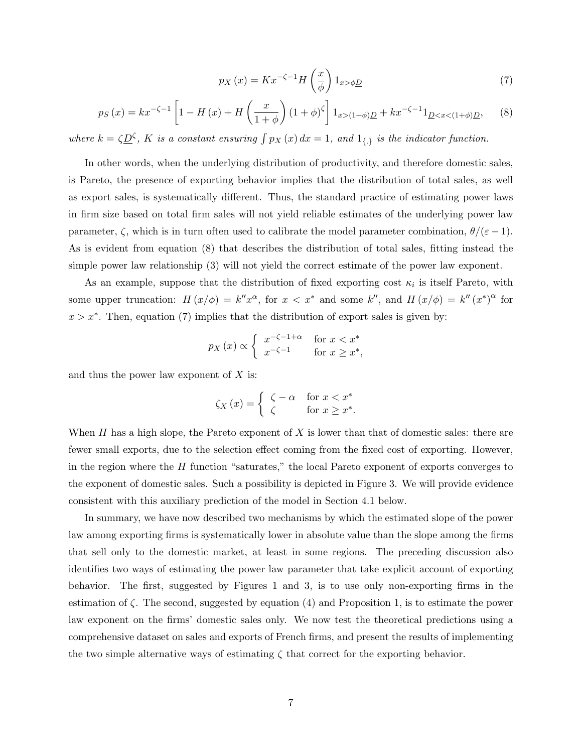$$
p_X(x) = Kx^{-\zeta - 1}H\left(\frac{x}{\phi}\right)1_{x > \phi \underline{D}}\tag{7}
$$

$$
p_S(x) = kx^{-\zeta - 1} \left[ 1 - H(x) + H\left(\frac{x}{1+\phi}\right) (1+\phi)^{\zeta} \right] 1_{x > (1+\phi)\underline{D}} + kx^{-\zeta - 1} 1_{\underline{D} < x < (1+\phi)\underline{D}},\tag{8}
$$

where  $k = \zeta \underline{D}^{\zeta}$ , K is a constant ensuring  $\int p_X(x) dx = 1$ , and  $1_{\{\cdot\}}$  is the indicator function.

In other words, when the underlying distribution of productivity, and therefore domestic sales, is Pareto, the presence of exporting behavior implies that the distribution of total sales, as well as export sales, is systematically different. Thus, the standard practice of estimating power laws in firm size based on total firm sales will not yield reliable estimates of the underlying power law parameter,  $\zeta$ , which is in turn often used to calibrate the model parameter combination,  $\theta/(\varepsilon - 1)$ . As is evident from equation (8) that describes the distribution of total sales, fitting instead the simple power law relationship (3) will not yield the correct estimate of the power law exponent.

As an example, suppose that the distribution of fixed exporting cost  $\kappa_i$  is itself Pareto, with some upper truncation:  $H(x/\phi) = k''x^{\alpha}$ , for  $x < x^*$  and some k'', and  $H(x/\phi) = k''(x^*)^{\alpha}$  for  $x > x^*$ . Then, equation (7) implies that the distribution of export sales is given by:

$$
p_X(x) \propto \begin{cases} x^{-\zeta - 1 + \alpha} & \text{for } x < x^* \\ x^{-\zeta - 1} & \text{for } x \ge x^*, \end{cases}
$$

and thus the power law exponent of  $X$  is:

$$
\zeta_X(x) = \begin{cases} \zeta - \alpha & \text{for } x < x^* \\ \zeta & \text{for } x \ge x^*. \end{cases}
$$

When  $H$  has a high slope, the Pareto exponent of  $X$  is lower than that of domestic sales: there are fewer small exports, due to the selection effect coming from the fixed cost of exporting. However, in the region where the  $H$  function "saturates," the local Pareto exponent of exports converges to the exponent of domestic sales. Such a possibility is depicted in Figure 3. We will provide evidence consistent with this auxiliary prediction of the model in Section 4.1 below.

In summary, we have now described two mechanisms by which the estimated slope of the power law among exporting firms is systematically lower in absolute value than the slope among the firms that sell only to the domestic market, at least in some regions. The preceding discussion also identifies two ways of estimating the power law parameter that take explicit account of exporting behavior. The first, suggested by Figures 1 and 3, is to use only non-exporting firms in the estimation of  $\zeta$ . The second, suggested by equation (4) and Proposition 1, is to estimate the power law exponent on the firms' domestic sales only. We now test the theoretical predictions using a comprehensive dataset on sales and exports of French firms, and present the results of implementing the two simple alternative ways of estimating  $\zeta$  that correct for the exporting behavior.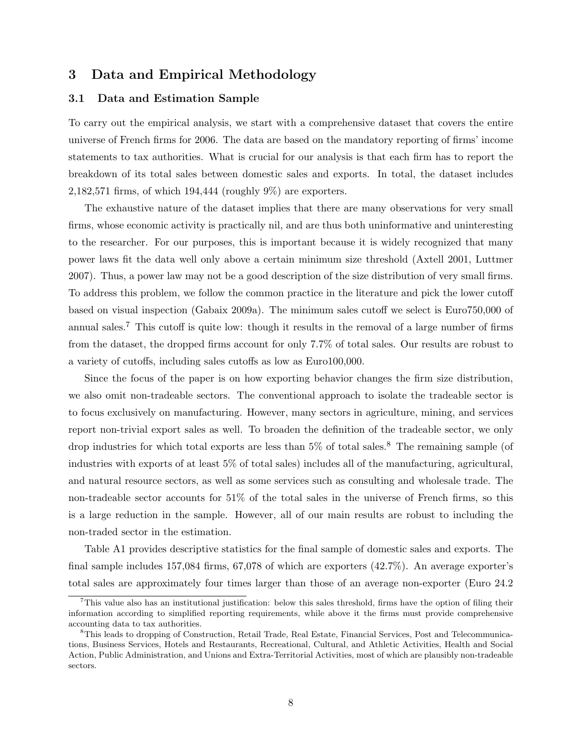## 3 Data and Empirical Methodology

#### 3.1 Data and Estimation Sample

To carry out the empirical analysis, we start with a comprehensive dataset that covers the entire universe of French firms for 2006. The data are based on the mandatory reporting of firms' income statements to tax authorities. What is crucial for our analysis is that each firm has to report the breakdown of its total sales between domestic sales and exports. In total, the dataset includes 2,182,571 firms, of which 194,444 (roughly 9%) are exporters.

The exhaustive nature of the dataset implies that there are many observations for very small firms, whose economic activity is practically nil, and are thus both uninformative and uninteresting to the researcher. For our purposes, this is important because it is widely recognized that many power laws fit the data well only above a certain minimum size threshold (Axtell 2001, Luttmer 2007). Thus, a power law may not be a good description of the size distribution of very small firms. To address this problem, we follow the common practice in the literature and pick the lower cutoff based on visual inspection (Gabaix 2009a). The minimum sales cutoff we select is Euro750,000 of annual sales.<sup>7</sup> This cutoff is quite low: though it results in the removal of a large number of firms from the dataset, the dropped firms account for only 7.7% of total sales. Our results are robust to a variety of cutoffs, including sales cutoffs as low as Euro100,000.

Since the focus of the paper is on how exporting behavior changes the firm size distribution, we also omit non-tradeable sectors. The conventional approach to isolate the tradeable sector is to focus exclusively on manufacturing. However, many sectors in agriculture, mining, and services report non-trivial export sales as well. To broaden the definition of the tradeable sector, we only drop industries for which total exports are less than  $5\%$  of total sales.<sup>8</sup> The remaining sample (of industries with exports of at least 5% of total sales) includes all of the manufacturing, agricultural, and natural resource sectors, as well as some services such as consulting and wholesale trade. The non-tradeable sector accounts for 51% of the total sales in the universe of French firms, so this is a large reduction in the sample. However, all of our main results are robust to including the non-traded sector in the estimation.

Table A1 provides descriptive statistics for the final sample of domestic sales and exports. The final sample includes 157,084 firms, 67,078 of which are exporters (42.7%). An average exporter's total sales are approximately four times larger than those of an average non-exporter (Euro 24.2

<sup>&</sup>lt;sup>7</sup>This value also has an institutional justification: below this sales threshold, firms have the option of filing their information according to simplified reporting requirements, while above it the firms must provide comprehensive accounting data to tax authorities.

<sup>8</sup>This leads to dropping of Construction, Retail Trade, Real Estate, Financial Services, Post and Telecommunications, Business Services, Hotels and Restaurants, Recreational, Cultural, and Athletic Activities, Health and Social Action, Public Administration, and Unions and Extra-Territorial Activities, most of which are plausibly non-tradeable sectors.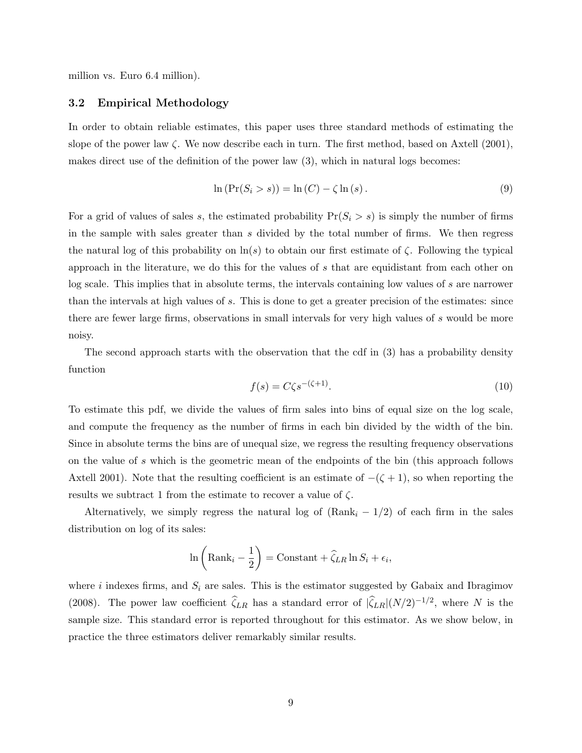million vs. Euro 6.4 million).

#### 3.2 Empirical Methodology

In order to obtain reliable estimates, this paper uses three standard methods of estimating the slope of the power law  $\zeta$ . We now describe each in turn. The first method, based on Axtell (2001), makes direct use of the definition of the power law (3), which in natural logs becomes:

$$
\ln\left(\Pr(S_i > s)\right) = \ln\left(C\right) - \zeta \ln\left(s\right). \tag{9}
$$

For a grid of values of sales s, the estimated probability  $Pr(S_i > s)$  is simply the number of firms in the sample with sales greater than s divided by the total number of firms. We then regress the natural log of this probability on  $\ln(s)$  to obtain our first estimate of  $\zeta$ . Following the typical approach in the literature, we do this for the values of s that are equidistant from each other on log scale. This implies that in absolute terms, the intervals containing low values of s are narrower than the intervals at high values of s. This is done to get a greater precision of the estimates: since there are fewer large firms, observations in small intervals for very high values of s would be more noisy.

The second approach starts with the observation that the cdf in (3) has a probability density function

$$
f(s) = C\zeta s^{-(\zeta+1)}.\tag{10}
$$

To estimate this pdf, we divide the values of firm sales into bins of equal size on the log scale, and compute the frequency as the number of firms in each bin divided by the width of the bin. Since in absolute terms the bins are of unequal size, we regress the resulting frequency observations on the value of s which is the geometric mean of the endpoints of the bin (this approach follows Axtell 2001). Note that the resulting coefficient is an estimate of  $-(\zeta + 1)$ , so when reporting the results we subtract 1 from the estimate to recover a value of  $\zeta$ .

Alternatively, we simply regress the natural log of  $(Rank<sub>i</sub> - 1/2)$  of each firm in the sales distribution on log of its sales:

$$
\ln\left(\text{Rank}_i - \frac{1}{2}\right) = \text{Constant} + \hat{\zeta}_{LR} \ln S_i + \epsilon_i,
$$

where i indexes firms, and  $S_i$  are sales. This is the estimator suggested by Gabaix and Ibragimov (2008). The power law coefficient  $\hat{\zeta}_{LR}$  has a standard error of  $|\hat{\zeta}_{LR}|(N/2)^{-1/2}$ , where N is the sample size. This standard error is reported throughout for this estimator. As we show below, in practice the three estimators deliver remarkably similar results.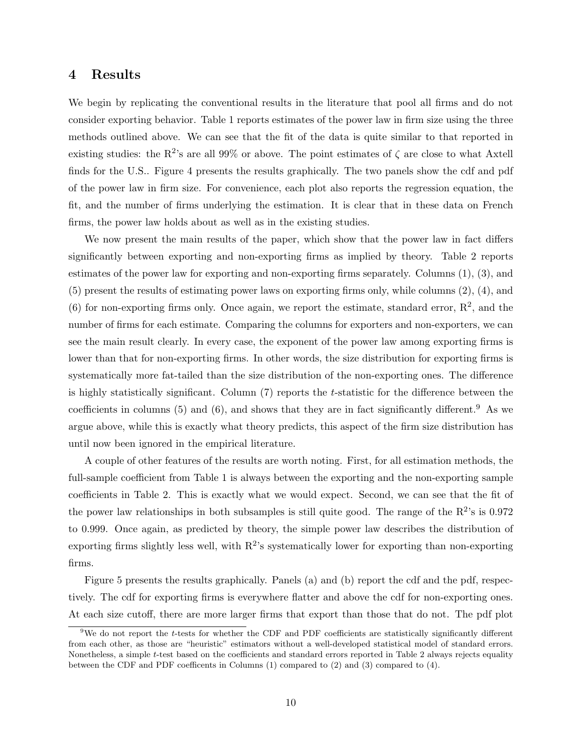### 4 Results

We begin by replicating the conventional results in the literature that pool all firms and do not consider exporting behavior. Table 1 reports estimates of the power law in firm size using the three methods outlined above. We can see that the fit of the data is quite similar to that reported in existing studies: the R<sup>2</sup>'s are all 99% or above. The point estimates of  $\zeta$  are close to what Axtell finds for the U.S.. Figure 4 presents the results graphically. The two panels show the cdf and pdf of the power law in firm size. For convenience, each plot also reports the regression equation, the fit, and the number of firms underlying the estimation. It is clear that in these data on French firms, the power law holds about as well as in the existing studies.

We now present the main results of the paper, which show that the power law in fact differs significantly between exporting and non-exporting firms as implied by theory. Table 2 reports estimates of the power law for exporting and non-exporting firms separately. Columns (1), (3), and (5) present the results of estimating power laws on exporting firms only, while columns (2), (4), and (6) for non-exporting firms only. Once again, we report the estimate, standard error,  $\mathbb{R}^2$ , and the number of firms for each estimate. Comparing the columns for exporters and non-exporters, we can see the main result clearly. In every case, the exponent of the power law among exporting firms is lower than that for non-exporting firms. In other words, the size distribution for exporting firms is systematically more fat-tailed than the size distribution of the non-exporting ones. The difference is highly statistically significant. Column (7) reports the t-statistic for the difference between the coefficients in columns (5) and (6), and shows that they are in fact significantly different.<sup>9</sup> As we argue above, while this is exactly what theory predicts, this aspect of the firm size distribution has until now been ignored in the empirical literature.

A couple of other features of the results are worth noting. First, for all estimation methods, the full-sample coefficient from Table 1 is always between the exporting and the non-exporting sample coefficients in Table 2. This is exactly what we would expect. Second, we can see that the fit of the power law relationships in both subsamples is still quite good. The range of the  $R^2$ 's is 0.972 to 0.999. Once again, as predicted by theory, the simple power law describes the distribution of exporting firms slightly less well, with  $R^2$ 's systematically lower for exporting than non-exporting firms.

Figure 5 presents the results graphically. Panels (a) and (b) report the cdf and the pdf, respectively. The cdf for exporting firms is everywhere flatter and above the cdf for non-exporting ones. At each size cutoff, there are more larger firms that export than those that do not. The pdf plot

 $9$ We do not report the t-tests for whether the CDF and PDF coefficients are statistically significantly different from each other, as those are "heuristic" estimators without a well-developed statistical model of standard errors. Nonetheless, a simple t-test based on the coefficients and standard errors reported in Table 2 always rejects equality between the CDF and PDF coefficents in Columns (1) compared to (2) and (3) compared to (4).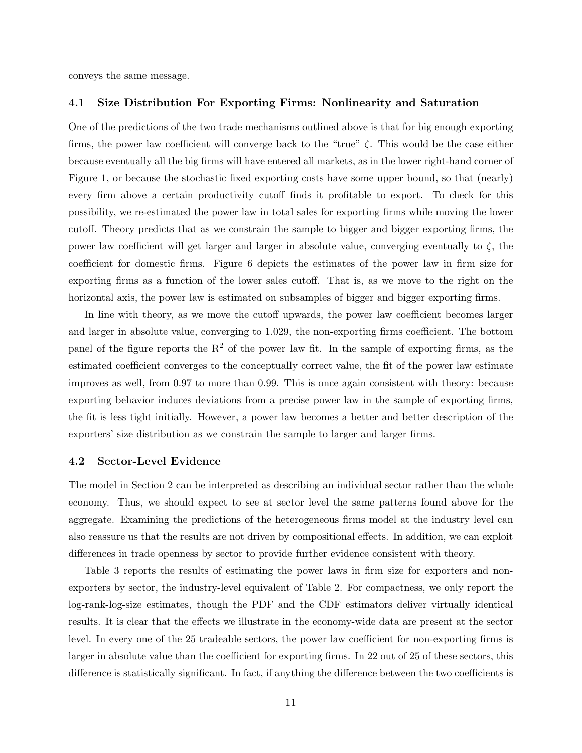conveys the same message.

#### 4.1 Size Distribution For Exporting Firms: Nonlinearity and Saturation

One of the predictions of the two trade mechanisms outlined above is that for big enough exporting firms, the power law coefficient will converge back to the "true"  $\zeta$ . This would be the case either because eventually all the big firms will have entered all markets, as in the lower right-hand corner of Figure 1, or because the stochastic fixed exporting costs have some upper bound, so that (nearly) every firm above a certain productivity cutoff finds it profitable to export. To check for this possibility, we re-estimated the power law in total sales for exporting firms while moving the lower cutoff. Theory predicts that as we constrain the sample to bigger and bigger exporting firms, the power law coefficient will get larger and larger in absolute value, converging eventually to ζ, the coefficient for domestic firms. Figure 6 depicts the estimates of the power law in firm size for exporting firms as a function of the lower sales cutoff. That is, as we move to the right on the horizontal axis, the power law is estimated on subsamples of bigger and bigger exporting firms.

In line with theory, as we move the cutoff upwards, the power law coefficient becomes larger and larger in absolute value, converging to 1.029, the non-exporting firms coefficient. The bottom panel of the figure reports the  $R^2$  of the power law fit. In the sample of exporting firms, as the estimated coefficient converges to the conceptually correct value, the fit of the power law estimate improves as well, from 0.97 to more than 0.99. This is once again consistent with theory: because exporting behavior induces deviations from a precise power law in the sample of exporting firms, the fit is less tight initially. However, a power law becomes a better and better description of the exporters' size distribution as we constrain the sample to larger and larger firms.

#### 4.2 Sector-Level Evidence

The model in Section 2 can be interpreted as describing an individual sector rather than the whole economy. Thus, we should expect to see at sector level the same patterns found above for the aggregate. Examining the predictions of the heterogeneous firms model at the industry level can also reassure us that the results are not driven by compositional effects. In addition, we can exploit differences in trade openness by sector to provide further evidence consistent with theory.

Table 3 reports the results of estimating the power laws in firm size for exporters and nonexporters by sector, the industry-level equivalent of Table 2. For compactness, we only report the log-rank-log-size estimates, though the PDF and the CDF estimators deliver virtually identical results. It is clear that the effects we illustrate in the economy-wide data are present at the sector level. In every one of the 25 tradeable sectors, the power law coefficient for non-exporting firms is larger in absolute value than the coefficient for exporting firms. In 22 out of 25 of these sectors, this difference is statistically significant. In fact, if anything the difference between the two coefficients is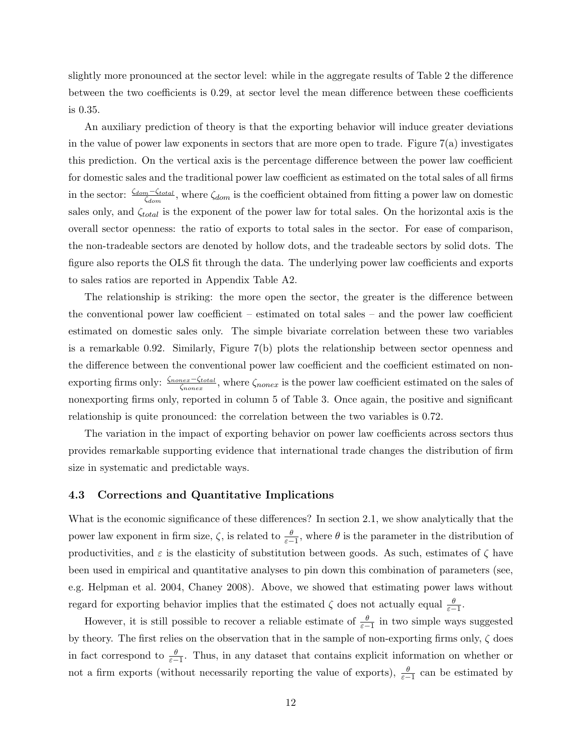slightly more pronounced at the sector level: while in the aggregate results of Table 2 the difference between the two coefficients is 0.29, at sector level the mean difference between these coefficients is 0.35.

An auxiliary prediction of theory is that the exporting behavior will induce greater deviations in the value of power law exponents in sectors that are more open to trade. Figure  $7(a)$  investigates this prediction. On the vertical axis is the percentage difference between the power law coefficient for domestic sales and the traditional power law coefficient as estimated on the total sales of all firms in the sector:  $\frac{\zeta_{dom} - \zeta_{total}}{\zeta_{dom}}$ , where  $\zeta_{dom}$  is the coefficient obtained from fitting a power law on domestic sales only, and  $\zeta_{total}$  is the exponent of the power law for total sales. On the horizontal axis is the overall sector openness: the ratio of exports to total sales in the sector. For ease of comparison, the non-tradeable sectors are denoted by hollow dots, and the tradeable sectors by solid dots. The figure also reports the OLS fit through the data. The underlying power law coefficients and exports to sales ratios are reported in Appendix Table A2.

The relationship is striking: the more open the sector, the greater is the difference between the conventional power law coefficient – estimated on total sales – and the power law coefficient estimated on domestic sales only. The simple bivariate correlation between these two variables is a remarkable 0.92. Similarly, Figure 7(b) plots the relationship between sector openness and the difference between the conventional power law coefficient and the coefficient estimated on nonexporting firms only:  $\frac{\zeta_{nonex}-\zeta_{total}}{\zeta_{nonex}}$ , where  $\zeta_{nonex}$  is the power law coefficient estimated on the sales of nonexporting firms only, reported in column 5 of Table 3. Once again, the positive and significant relationship is quite pronounced: the correlation between the two variables is 0.72.

The variation in the impact of exporting behavior on power law coefficients across sectors thus provides remarkable supporting evidence that international trade changes the distribution of firm size in systematic and predictable ways.

#### 4.3 Corrections and Quantitative Implications

What is the economic significance of these differences? In section 2.1, we show analytically that the power law exponent in firm size,  $\zeta$ , is related to  $\frac{\theta}{\varepsilon-1}$ , where  $\theta$  is the parameter in the distribution of productivities, and  $\varepsilon$  is the elasticity of substitution between goods. As such, estimates of  $\zeta$  have been used in empirical and quantitative analyses to pin down this combination of parameters (see, e.g. Helpman et al. 2004, Chaney 2008). Above, we showed that estimating power laws without regard for exporting behavior implies that the estimated  $\zeta$  does not actually equal  $\frac{\theta}{\varepsilon-1}$ .

However, it is still possible to recover a reliable estimate of  $\frac{\theta}{\varepsilon-1}$  in two simple ways suggested by theory. The first relies on the observation that in the sample of non-exporting firms only,  $\zeta$  does in fact correspond to  $\frac{\theta}{\varepsilon-1}$ . Thus, in any dataset that contains explicit information on whether or not a firm exports (without necessarily reporting the value of exports),  $\frac{\theta}{\varepsilon-1}$  can be estimated by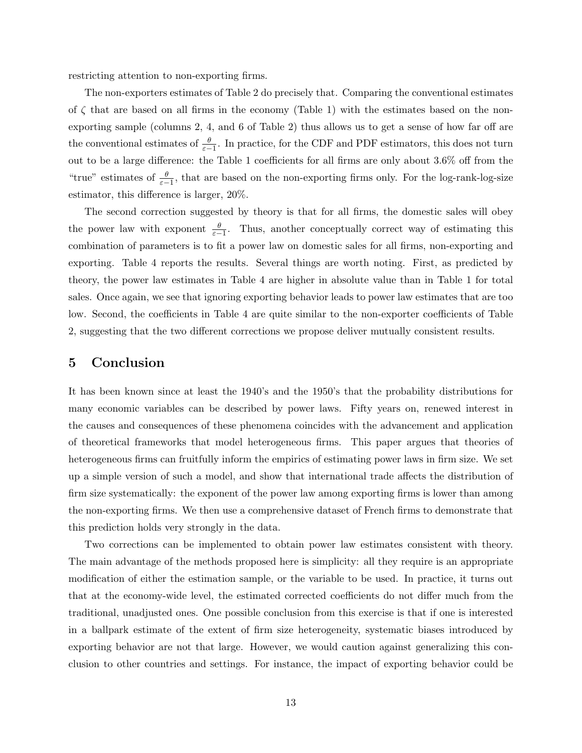restricting attention to non-exporting firms.

The non-exporters estimates of Table 2 do precisely that. Comparing the conventional estimates of  $\zeta$  that are based on all firms in the economy (Table 1) with the estimates based on the nonexporting sample (columns 2, 4, and 6 of Table 2) thus allows us to get a sense of how far off are the conventional estimates of  $\frac{\theta}{\varepsilon-1}$ . In practice, for the CDF and PDF estimators, this does not turn out to be a large difference: the Table 1 coefficients for all firms are only about 3.6% off from the "true" estimates of  $\frac{\theta}{\epsilon-1}$ , that are based on the non-exporting firms only. For the log-rank-log-size estimator, this difference is larger, 20%.

The second correction suggested by theory is that for all firms, the domestic sales will obey the power law with exponent  $\frac{\theta}{\varepsilon-1}$ . Thus, another conceptually correct way of estimating this combination of parameters is to fit a power law on domestic sales for all firms, non-exporting and exporting. Table 4 reports the results. Several things are worth noting. First, as predicted by theory, the power law estimates in Table 4 are higher in absolute value than in Table 1 for total sales. Once again, we see that ignoring exporting behavior leads to power law estimates that are too low. Second, the coefficients in Table 4 are quite similar to the non-exporter coefficients of Table 2, suggesting that the two different corrections we propose deliver mutually consistent results.

### 5 Conclusion

It has been known since at least the 1940's and the 1950's that the probability distributions for many economic variables can be described by power laws. Fifty years on, renewed interest in the causes and consequences of these phenomena coincides with the advancement and application of theoretical frameworks that model heterogeneous firms. This paper argues that theories of heterogeneous firms can fruitfully inform the empirics of estimating power laws in firm size. We set up a simple version of such a model, and show that international trade affects the distribution of firm size systematically: the exponent of the power law among exporting firms is lower than among the non-exporting firms. We then use a comprehensive dataset of French firms to demonstrate that this prediction holds very strongly in the data.

Two corrections can be implemented to obtain power law estimates consistent with theory. The main advantage of the methods proposed here is simplicity: all they require is an appropriate modification of either the estimation sample, or the variable to be used. In practice, it turns out that at the economy-wide level, the estimated corrected coefficients do not differ much from the traditional, unadjusted ones. One possible conclusion from this exercise is that if one is interested in a ballpark estimate of the extent of firm size heterogeneity, systematic biases introduced by exporting behavior are not that large. However, we would caution against generalizing this conclusion to other countries and settings. For instance, the impact of exporting behavior could be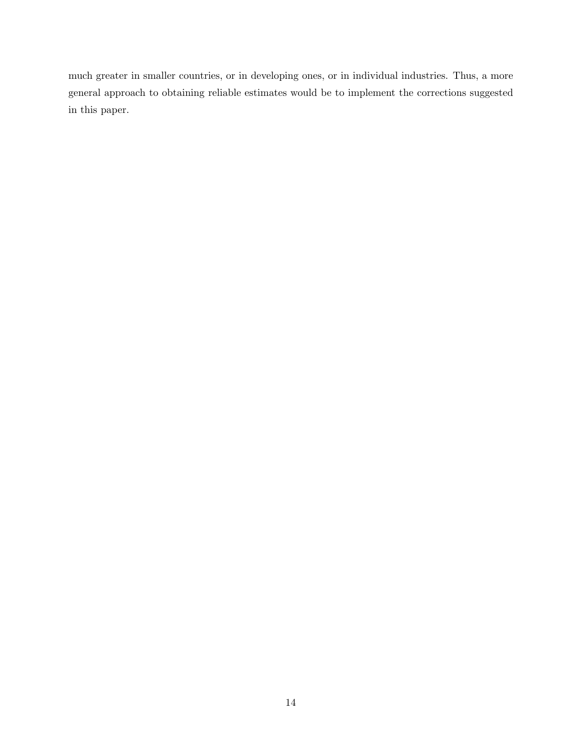much greater in smaller countries, or in developing ones, or in individual industries. Thus, a more general approach to obtaining reliable estimates would be to implement the corrections suggested in this paper.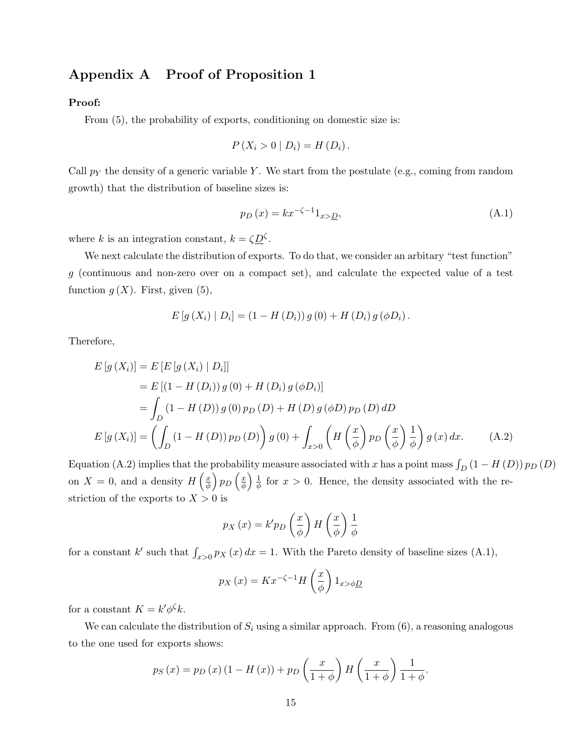## Appendix A Proof of Proposition 1

#### Proof:

From  $(5)$ , the probability of exports, conditioning on domestic size is:

$$
P(X_i > 0 | D_i) = H(D_i).
$$

Call  $p_Y$  the density of a generic variable Y. We start from the postulate (e.g., coming from random growth) that the distribution of baseline sizes is:

$$
p_D(x) = kx^{-\zeta - 1} 1_{x > D},\tag{A.1}
$$

where k is an integration constant,  $k = \zeta \underline{D}^{\zeta}$ .

We next calculate the distribution of exports. To do that, we consider an arbitary "test function" g (continuous and non-zero over on a compact set), and calculate the expected value of a test function  $g(X)$ . First, given (5),

$$
E[g(X_i) | D_i] = (1 - H(D_i)) g(0) + H(D_i) g(\phi D_i).
$$

Therefore,

$$
E[g(X_i)] = E[E[g(X_i) | D_i]]
$$
  
=  $E[(1 - H(D_i)) g(0) + H(D_i) g(\phi D_i)]$   
=  $\int_D (1 - H(D)) g(0) p_D(D) + H(D) g(\phi D) p_D(D) dD$   

$$
E[g(X_i)] = \left(\int_D (1 - H(D)) p_D(D)\right) g(0) + \int_{x>0} \left(H\left(\frac{x}{\phi}\right) p_D\left(\frac{x}{\phi}\right) \frac{1}{\phi}\right) g(x) dx.
$$
 (A.2)

Equation (A.2) implies that the probability measure associated with x has a point mass  $\int_D (1 - H(D)) p_D(D)$ on  $X = 0$ , and a density  $H\left(\frac{x}{A}\right)$  $\left(\frac{x}{\phi}\right) p_D \left(\frac{x}{\phi}\right)$  $\frac{x}{\phi}$ )  $\frac{1}{\phi}$  $\frac{1}{\phi}$  for  $x > 0$ . Hence, the density associated with the restriction of the exports to  $X > 0$  is

$$
p_X(x) = k' p_D\left(\frac{x}{\phi}\right) H\left(\frac{x}{\phi}\right) \frac{1}{\phi}
$$

for a constant k' such that  $\int_{x>0} p_X(x) dx = 1$ . With the Pareto density of baseline sizes (A.1),

$$
p_X(x) = Kx^{-\zeta - 1}H\left(\frac{x}{\phi}\right)1_{x > \phi \underline{D}}
$$

for a constant  $K = k' \phi^{\zeta} k$ .

We can calculate the distribution of  $S_i$  using a similar approach. From  $(6)$ , a reasoning analogous to the one used for exports shows:

$$
p_S(x) = p_D(x) (1 - H(x)) + p_D\left(\frac{x}{1 + \phi}\right) H\left(\frac{x}{1 + \phi}\right) \frac{1}{1 + \phi}.
$$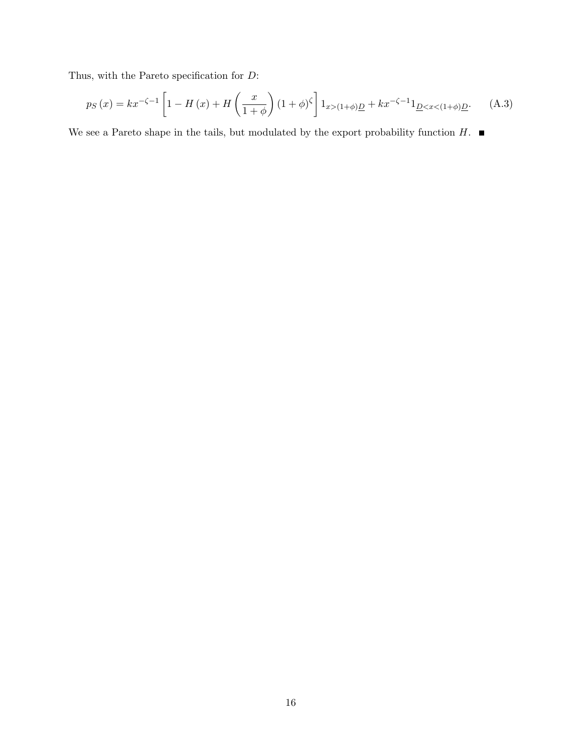Thus, with the Pareto specification for  $\mathcal{D} \colon$ 

$$
p_S(x) = kx^{-\zeta - 1} \left[ 1 - H(x) + H\left(\frac{x}{1+\phi}\right) (1+\phi)^{\zeta} \right] 1_{x > (1+\phi)D} + kx^{-\zeta - 1} 1_{D < x < (1+\phi)D}.\tag{A.3}
$$

We see a Pareto shape in the tails, but modulated by the export probability function  $H$ .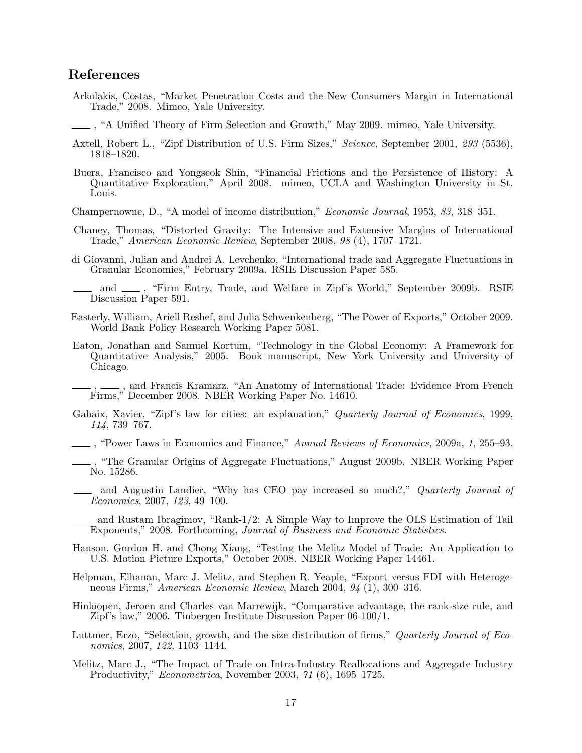## References

Arkolakis, Costas, "Market Penetration Costs and the New Consumers Margin in International Trade," 2008. Mimeo, Yale University.

, "A Unified Theory of Firm Selection and Growth," May 2009. mimeo, Yale University.

- Axtell, Robert L., "Zipf Distribution of U.S. Firm Sizes," Science, September 2001, 293 (5536), 1818–1820.
- Buera, Francisco and Yongseok Shin, "Financial Frictions and the Persistence of History: A Quantitative Exploration," April 2008. mimeo, UCLA and Washington University in St. Louis.

Champernowne, D., "A model of income distribution," Economic Journal, 1953, 83, 318–351.

- Chaney, Thomas, "Distorted Gravity: The Intensive and Extensive Margins of International Trade," American Economic Review, September 2008, 98 (4), 1707–1721.
- di Giovanni, Julian and Andrei A. Levchenko, "International trade and Aggregate Fluctuations in Granular Economies," February 2009a. RSIE Discussion Paper 585.
- and  $\_\_\$ , "Firm Entry, Trade, and Welfare in Zipf's World," September 2009b. RSIE Discussion Paper 591.
- Easterly, William, Ariell Reshef, and Julia Schwenkenberg, "The Power of Exports," October 2009. World Bank Policy Research Working Paper 5081.
- Eaton, Jonathan and Samuel Kortum, "Technology in the Global Economy: A Framework for Quantitative Analysis," 2005. Book manuscript, New York University and University of Chicago.
- ,  $\_\_\_\$ , and Francis Kramarz, "An Anatomy of International Trade: Evidence From French Firms," December 2008. NBER Working Paper No. 14610.
- Gabaix, Xavier, "Zipf's law for cities: an explanation," Quarterly Journal of Economics, 1999, 114, 739–767.

, "Power Laws in Economics and Finance," Annual Reviews of Economics, 2009a, 1, 255–93.

- , "The Granular Origins of Aggregate Fluctuations," August 2009b. NBER Working Paper No. 15286.
- and Augustin Landier, "Why has CEO pay increased so much?," Quarterly Journal of Economics, 2007, 123, 49–100.
- and Rustam Ibragimov, "Rank-1/2: A Simple Way to Improve the OLS Estimation of Tail Exponents," 2008. Forthcoming, Journal of Business and Economic Statistics.
- Hanson, Gordon H. and Chong Xiang, "Testing the Melitz Model of Trade: An Application to U.S. Motion Picture Exports," October 2008. NBER Working Paper 14461.
- Helpman, Elhanan, Marc J. Melitz, and Stephen R. Yeaple, "Export versus FDI with Heterogeneous Firms," American Economic Review, March 2004, 94 (1), 300–316.
- Hinloopen, Jeroen and Charles van Marrewijk, "Comparative advantage, the rank-size rule, and Zipf's law," 2006. Tinbergen Institute Discussion Paper 06-100/1.
- Luttmer, Erzo, "Selection, growth, and the size distribution of firms," Quarterly Journal of Economics, 2007, 122, 1103–1144.
- Melitz, Marc J., "The Impact of Trade on Intra-Industry Reallocations and Aggregate Industry Productivity," Econometrica, November 2003, 71 (6), 1695-1725.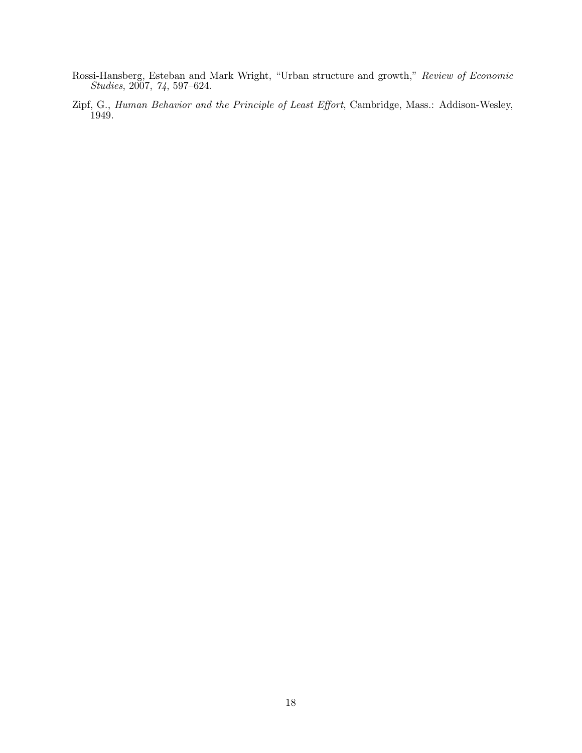- Rossi-Hansberg, Esteban and Mark Wright, "Urban structure and growth," Review of Economic Studies, 2007, 74, 597–624.
- Zipf, G., Human Behavior and the Principle of Least Effort, Cambridge, Mass.: Addison-Wesley, 1949.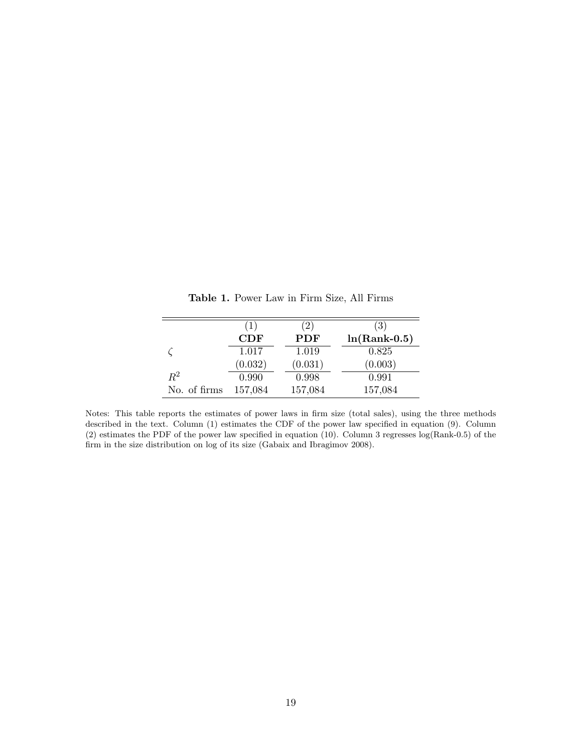|              | (1)                  | (2)     | (3)            |
|--------------|----------------------|---------|----------------|
|              | $\operatorname{CDF}$ | PDF     | $ln(Rank-0.5)$ |
|              | 1.017                | 1.019   | 0.825          |
|              | (0.032)              | (0.031) | (0.003)        |
| $R^2$        | 0.990                | 0.998   | 0.991          |
| No. of firms | 157,084              | 157,084 | 157,084        |

Table 1. Power Law in Firm Size, All Firms

Notes: This table reports the estimates of power laws in firm size (total sales), using the three methods described in the text. Column (1) estimates the CDF of the power law specified in equation (9). Column (2) estimates the PDF of the power law specified in equation (10). Column 3 regresses log(Rank-0.5) of the firm in the size distribution on log of its size (Gabaix and Ibragimov 2008).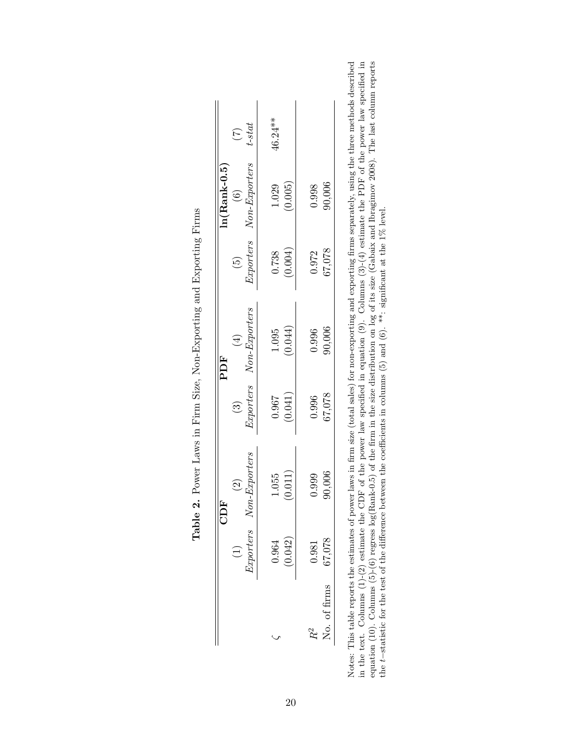|              |               | CDF                                |            | PDF                                |                          | $ln(Rank-0.5)$                            |                           |
|--------------|---------------|------------------------------------|------------|------------------------------------|--------------------------|-------------------------------------------|---------------------------|
|              | $Exporters$ N | on-Exporters<br>$\widehat{\Omega}$ | $\bigcirc$ | Exporters Non-Exporters<br>$(\pm)$ | $\widehat{\mathfrak{g}}$ | Exporters Non-Exporters<br>$\circledcirc$ | $t-stat$<br>$\widehat{C}$ |
|              | 0.964         | 1.055                              | 0.967      | 1.095                              | 0.738                    | 1.029                                     | 46.24 **                  |
|              | (0.042)       | (0.011)                            | (0.041)    | (0.044)                            | (0.004)                  | (0.005)                                   |                           |
|              | 0.981         | 0.999                              | 0.996      | 0.996                              | 0.972                    | 0.998                                     |                           |
| No. of firms | 67,078        | 90,006                             | 67,078     | 90,006                             | 67,078                   | 90,006                                    |                           |

| j                                                                         |
|---------------------------------------------------------------------------|
| )                                                                         |
| l<br>֖ׅ֚֚֚֚֚֚֚֚֚֚֚֚֚֚֚֚֚֚֚֚֚֚֬֡֡֡֡֡֡֡֬֡֡֡֬֓֡֡֬֓֞֬֓֡֬֓֞֬֓֞֓֡֬֓֬֝֓֞֬֝֬<br>I |
| ׇׇ֠֕֡<br>)<br>İ                                                           |
| I                                                                         |
| l<br>I<br>֠<br>ׇ֚֘                                                        |
|                                                                           |
| C<br>Tiri<br>Ì                                                            |
| i<br>ļ                                                                    |
|                                                                           |
| I<br>I                                                                    |
| ļ                                                                         |
| İ                                                                         |
| ׇ֚֘֝֬<br>l                                                                |

Notes: This table reports the estimates of power laws in firm size (total sales) for non-exporting and exporting firms separately, using the three methods described<br>in the text. Columns (1)-(2) estimate the CDF of the pow Notes: This table reports the estimates of power laws in firm size (total sales) for non-exporting and exporting firms separately, using the three methods described in the text. Columns (1)-(2) estimate the CDF of the power law specified in equation (9). Columns (3)-(4) estimate the PDF of the power law specified in equation (10). Columns (5)-(6) regress log(Rank-0.5) of the firm in the size distribution on log of its size (Gabaix and Ibragimov 2008). The last column reports the t−statistic for the test of the difference between the coefficients in columns (5) and (6). \*\*: significant at the 1% level.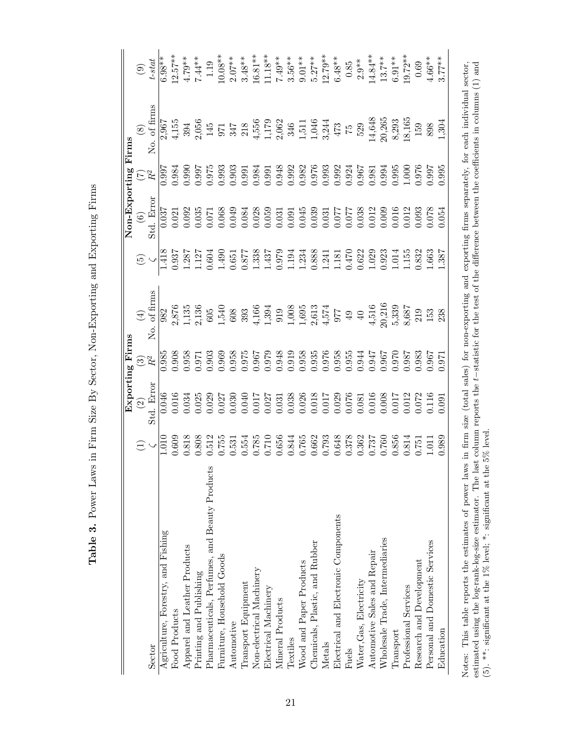| j                                                                                                                                                                                                                                                                                                                       |
|-------------------------------------------------------------------------------------------------------------------------------------------------------------------------------------------------------------------------------------------------------------------------------------------------------------------------|
| )<br>l<br>I<br>l<br>i<br>!<br>ļ                                                                                                                                                                                                                                                                                         |
| i<br>Si<br>j                                                                                                                                                                                                                                                                                                            |
| is a constant of the constant of the constant of the constant of the constant of the constant of the constant of the constant of the constant of the constant of the constant of the constant of the constant of the constant<br>١<br>l<br>)<br>)<br>l<br>֧֖֖֖֖֖֖֧ׅׅ֧֧֚֚֚֚֚֚֚֚֚֚֚֚֚֚֚֚֬֝֬֝֓֓֡֬֓֞֓֡֬֓֓֞֬֓֓֬֓֝֬֓֞֓֬֝֓֬֓֝֬ |
| I<br> <br> <br> <br>i                                                                                                                                                                                                                                                                                                   |
| l<br>i<br>ׇ֚֘<br>J                                                                                                                                                                                                                                                                                                      |
|                                                                                                                                                                                                                                                                                                                         |
| ו<br>נוס<br>ג<br>.<br>.<br>.<br>ì                                                                                                                                                                                                                                                                                       |
| 1、 1、 1、 1、 1、 1、 1、 1、 1<br>I<br>ׅׅׅ֧֦֧֧֦֧֧֦֧֦֧֧֚֚֚֚֚֚֚֚֚֚֚֚֚֚֚֚֚֚֚֚֚֚֬֘֝֡֡֘֓֡֘֝֬֓֡֬֓֝֬֓֓֝֬֝֬֝                                                                                                                                                                                                                         |
| -<br>-<br>-<br>I                                                                                                                                                                                                                                                                                                        |
| ו<br>נ<br>i<br>İ<br>ſ<br>I                                                                                                                                                                                                                                                                                              |
|                                                                                                                                                                                                                                                                                                                         |
| i<br>I<br>I                                                                                                                                                                                                                                                                                                             |

|                                                                                                                                                                                                                          |                 |                                                        | Exporting Firms    |                                                                        |                 | Non-Exporting  |                                                        | Firms                                                                                                               |                |
|--------------------------------------------------------------------------------------------------------------------------------------------------------------------------------------------------------------------------|-----------------|--------------------------------------------------------|--------------------|------------------------------------------------------------------------|-----------------|----------------|--------------------------------------------------------|---------------------------------------------------------------------------------------------------------------------|----------------|
|                                                                                                                                                                                                                          | $\bigoplus$     | $\widehat{\mathfrak{D}}$                               | $\odot$            | $\bigoplus$                                                            | $\widetilde{E}$ | $\circledcirc$ | $\widehat{\Sigma}^2$                                   | $\circledS$                                                                                                         | $\circledcirc$ |
| Sector                                                                                                                                                                                                                   | $\frac{101}{2}$ | Std. Error                                             | $\mathbb{R}^2$     | of firms<br>.<br>S                                                     |                 | Std. Error     |                                                        | No. of firms                                                                                                        | $t - stat$     |
| Agriculture, Forestry, and Fishing                                                                                                                                                                                       |                 | 0.046                                                  | 0.985              | 982                                                                    | 1.418           | 0.037          | 0.997                                                  | 2,967                                                                                                               | $6.98**$       |
| Food Products                                                                                                                                                                                                            | 0.609           | 0.016                                                  | 1.908              |                                                                        | 0.937           | 0.021          | 0.984                                                  | 4,155                                                                                                               | $12.57***$     |
| Apparel and Leather Products                                                                                                                                                                                             | 0.818           | 0.034                                                  | 0.958              | 2,876<br>1,135                                                         | 1.287           | 0.092          | 0.990                                                  | 394                                                                                                                 | $4.79***$      |
| Printing and Publishing                                                                                                                                                                                                  | 0.808           | 0.025                                                  | 0.971              | 2,136<br>605                                                           | 1.127           | 0.035          | <b>166.0</b>                                           |                                                                                                                     | $7.44**$       |
| S<br>Pharmaceuticals, Perfumes, and Beauty Product                                                                                                                                                                       | 0.512           | 0.029                                                  | 0.903              |                                                                        | 0.604           | 0.071          | 0.975<br>0.993                                         | $\begin{array}{c} 2{,}056 \\ 145 \end{array}$                                                                       | 1.19           |
| Furniture, Household Goods                                                                                                                                                                                               | 1.755           | 0.027                                                  | 0.969              | 1,540                                                                  | 1.490           | 0.068          |                                                        | 971                                                                                                                 | $10.08**$      |
| Automotive                                                                                                                                                                                                               | 0.531           | 0.030                                                  | 0.958              | $608\,$                                                                | 0.651           | 0.049          |                                                        | $347 \\ 218$                                                                                                        | $2.07**$       |
| Transport Equipment                                                                                                                                                                                                      | 0.554           | 0.040                                                  | 0.975              | 393                                                                    | 0.877           | 0.084          | $\begin{array}{c} 0.903 \\ 0.991 \\ 0.984 \end{array}$ |                                                                                                                     | $3.48***$      |
| Non-electrical Machinery                                                                                                                                                                                                 | 0.785           | 0.017                                                  | 0.967              | 4,166                                                                  | 1.338           | 0.028          |                                                        |                                                                                                                     | $16.81**$      |
| Electrical Machinery                                                                                                                                                                                                     | 0.710           | 0.027                                                  | 0.979              | 1,394                                                                  | 1.437           | 0.059          | 0.991                                                  | $4,556$<br>$1,179$<br>$2,062$                                                                                       | $11.18**$      |
| Mineral Products                                                                                                                                                                                                         | 0.656           | 0.031                                                  | 0.948              | 919                                                                    | 0.979<br>1.194  | 0.031          | 0.948<br>0.992                                         |                                                                                                                     | $7.49**$       |
| Textiles                                                                                                                                                                                                                 | 0.844           | 0.038                                                  | 0.919              |                                                                        |                 | 0.091          |                                                        | 346                                                                                                                 | $3.56***$      |
| Wood and Paper Products                                                                                                                                                                                                  | 0.765           |                                                        | 0.958              |                                                                        | 1.234           | 0.045          |                                                        |                                                                                                                     | $9.01***$      |
| Chemicals, Plastic, and Rubber                                                                                                                                                                                           | 0.662           | $\begin{array}{c} 0.026 \\ 0.018 \\ 0.017 \end{array}$ | 0.935              | $\begin{array}{c} 1,008 \\ 1,695 \\ 2,613 \\ 4,574 \\ 977 \end{array}$ | 0.888           | 0.039          | $\begin{array}{c} 0.982 \\ 0.976 \\ 0.993 \end{array}$ | $\frac{1,511}{1,046}$                                                                                               | $5.27***$      |
| Metals                                                                                                                                                                                                                   | 0.793           |                                                        | 0.976              |                                                                        | 1.241           | 0.031          |                                                        |                                                                                                                     | $12.79**$      |
| Electrical and Electronic Components                                                                                                                                                                                     | 0.648           | 0.029                                                  | $0.958$<br>$0.955$ |                                                                        | 1.181           | 170.077        | $\begin{array}{c} 0.992 \\ 0.924 \\ 0.967 \end{array}$ | $473\,$                                                                                                             | $6.48**$       |
| Fuels                                                                                                                                                                                                                    | 0.378           | 0.076                                                  |                    | $49\,$                                                                 | 0.470           | 170.077        |                                                        | $\frac{c_1}{c_2}$                                                                                                   | $0.85\,$       |
| Water, Gas, Electricity                                                                                                                                                                                                  | 0.362           | 0.081                                                  | 0.944              | $40$                                                                   | 0.622           | 0.038          |                                                        | 529                                                                                                                 | $2.9**$        |
| Automotive Sales and Repair                                                                                                                                                                                              | 1.737           | $0.016$<br>$0.008$                                     | 176.0              | 4,516                                                                  | 1.029           | 0.012          | 0.981                                                  |                                                                                                                     | $14.84***$     |
| Wholesale Trade, Intermediaries                                                                                                                                                                                          | 0.760           |                                                        | 1.967              | $20,216$<br>$5,339$                                                    |                 | 0.009          | 0.994                                                  | 14,648<br>20,265                                                                                                    | $13.7***$      |
| Transport                                                                                                                                                                                                                | 1.856           | 0.017                                                  | 0.970              |                                                                        | .014            | 0.016          | 0.995                                                  | 8,293                                                                                                               | $6.91**$       |
| Professional Services                                                                                                                                                                                                    | 0.814           | 0.12                                                   | 1.987              | 8,687                                                                  | 155             | 0.12           | 000                                                    | 18,165                                                                                                              | $19.72**$      |
| Research and Development                                                                                                                                                                                                 | 1.751           | 0.072                                                  | 0.983              | 219                                                                    | 1.832           | 0.93           | 1.976                                                  | 159                                                                                                                 | 0.69           |
| Personal and Domestic Services                                                                                                                                                                                           | $\overline{0}$  | 0.116                                                  | 1.967              | 153                                                                    | 1.663           | 0.078          | 0.997                                                  | 898                                                                                                                 | $4.66***$      |
| Education                                                                                                                                                                                                                | 0.989           | 0.091                                                  | .971               | 238                                                                    | .387            | 0.054          | 0.95                                                   | 1,304                                                                                                               | $3.77**$       |
| Notes: This table reports the estimates of power laws in firm size (total sales) for non-exporting and exporting firms separately, for each individual sector,<br>estimated using the log-rank-log-size estimator. The l |                 |                                                        |                    |                                                                        |                 |                |                                                        | last column reports the $t$ -statistic for the test of the difference between the coefficients in columns $(1)$ and |                |
| (5). **: significant at the 1% level; *: significant at the 5% level                                                                                                                                                     |                 |                                                        |                    |                                                                        |                 |                |                                                        |                                                                                                                     |                |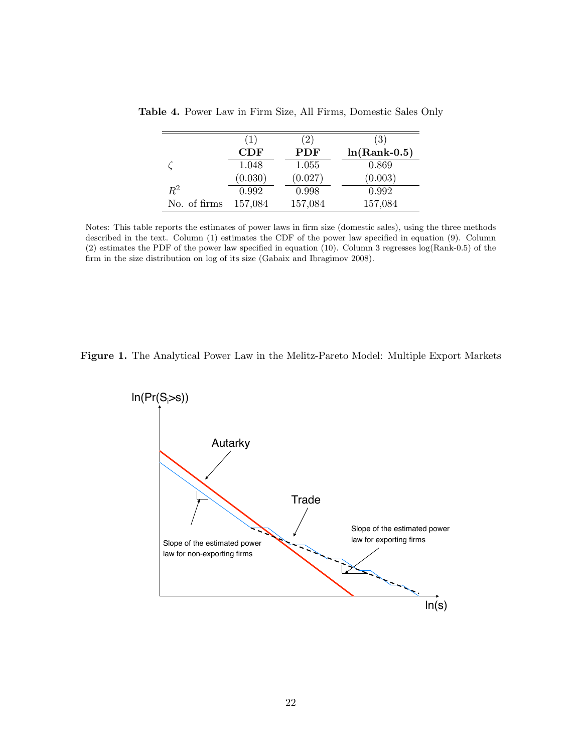|              | (1)     | (2)     | (3)            |
|--------------|---------|---------|----------------|
|              | CDF     | PDF     | $ln(Rank-0.5)$ |
|              | 1.048   | 1.055   | 0.869          |
|              | (0.030) | (0.027) | (0.003)        |
| $R^2$        | 0.992   | 0.998   | 0.992          |
| No. of firms | 157,084 | 157,084 | 157,084        |

Table 4. Power Law in Firm Size, All Firms, Domestic Sales Only

Notes: This table reports the estimates of power laws in firm size (domestic sales), using the three methods described in the text. Column (1) estimates the CDF of the power law specified in equation (9). Column (2) estimates the PDF of the power law specified in equation (10). Column 3 regresses log(Rank-0.5) of the firm in the size distribution on log of its size (Gabaix and Ibragimov 2008).



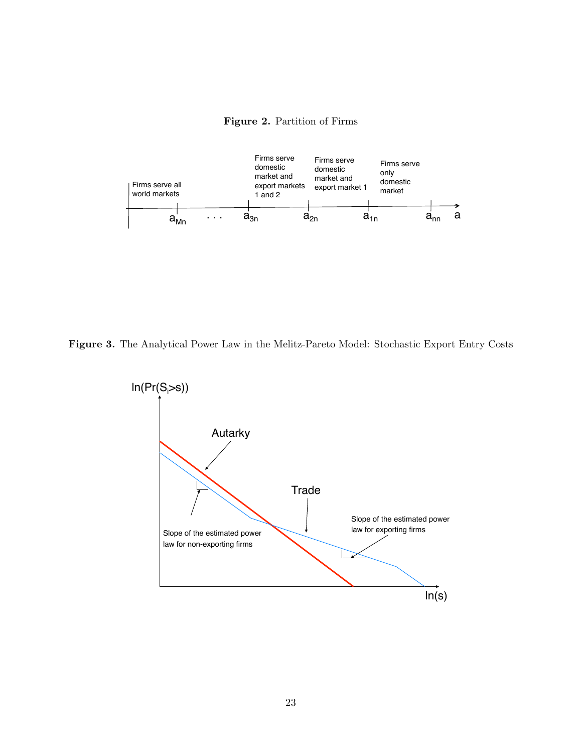



Figure 3. The Analytical Power Law in the Melitz-Pareto Model: Stochastic Export Entry Costs

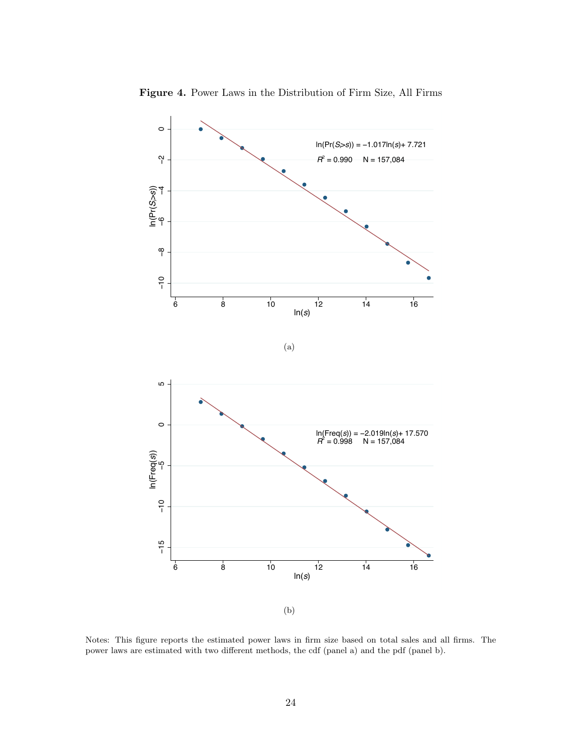

Figure 4. Power Laws in the Distribution of Firm Size, All Firms

Notes: This figure reports the estimated power laws in firm size based on total sales and all firms. The power laws are estimated with two different methods, the cdf (panel a) and the pdf (panel b).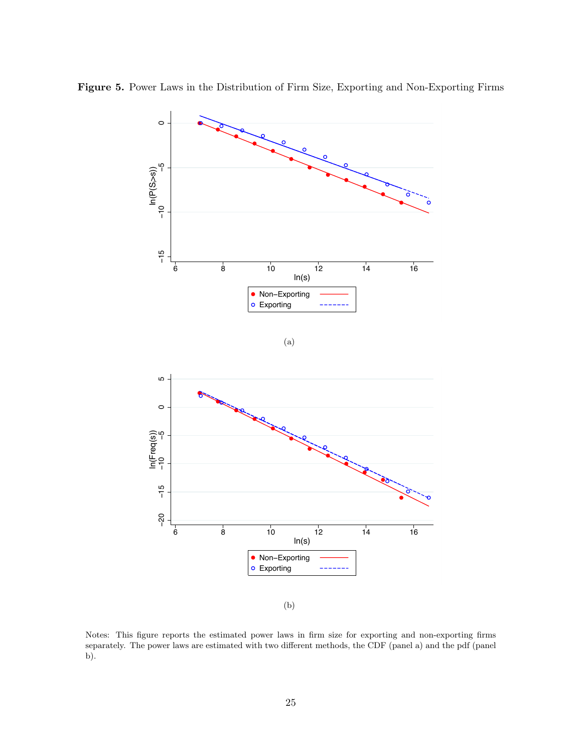

Figure 5. Power Laws in the Distribution of Firm Size, Exporting and Non-Exporting Firms

(b)

Notes: This figure reports the estimated power laws in firm size for exporting and non-exporting firms separately. The power laws are estimated with two different methods, the CDF (panel a) and the pdf (panel b).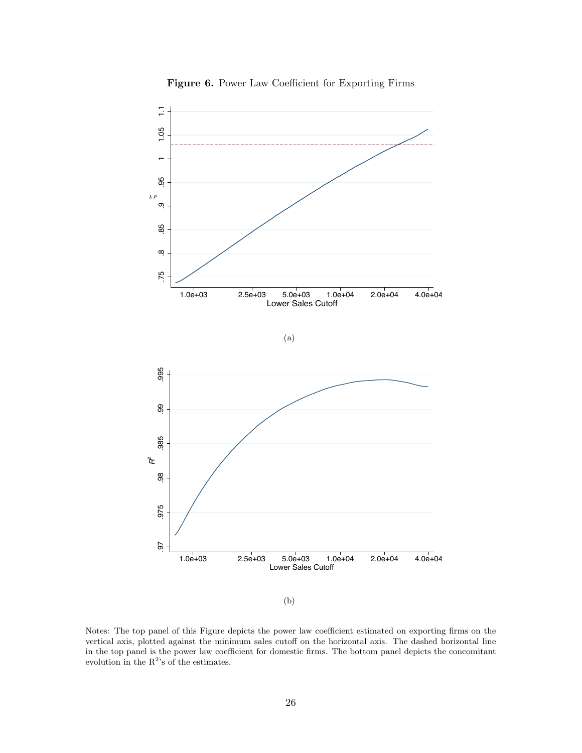

Figure 6. Power Law Coefficient for Exporting Firms

Notes: The top panel of this Figure depicts the power law coefficient estimated on exporting firms on the vertical axis, plotted against the minimum sales cutoff on the horizontal axis. The dashed horizontal line in the top panel is the power law coefficient for domestic firms. The bottom panel depicts the concomitant evolution in the  $R^2$ 's of the estimates.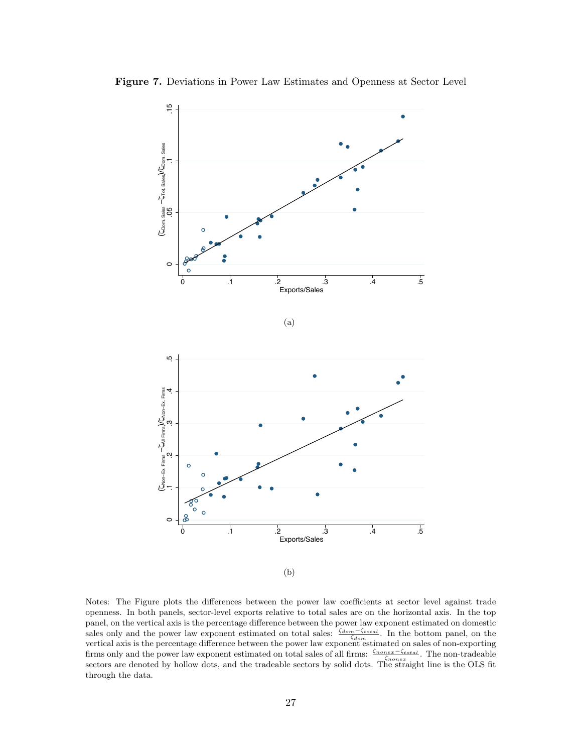

Figure 7. Deviations in Power Law Estimates and Openness at Sector Level

(b)

Notes: The Figure plots the differences between the power law coefficients at sector level against trade openness. In both panels, sector-level exports relative to total sales are on the horizontal axis. In the top panel, on the vertical axis is the percentage difference between the power law exponent estimated on domestic sales only and the power law exponent estimated on total sales:  $\frac{\zeta_{dom} - \zeta_{total}}{\zeta_{dom}}$ . In the bottom panel, on the vertical axis is the percentage difference between the power law exponent estimated on sales of non-exporting firms only and the power law exponent estimated on total sales of all firms:  $\frac{\zeta_{nonex}-\zeta_{total}}{\zeta_{nonex}}$ . The non-tradeable sectors are denoted by hollow dots, and the tradeable sectors by solid dots. The straight line is the OLS fit through the data.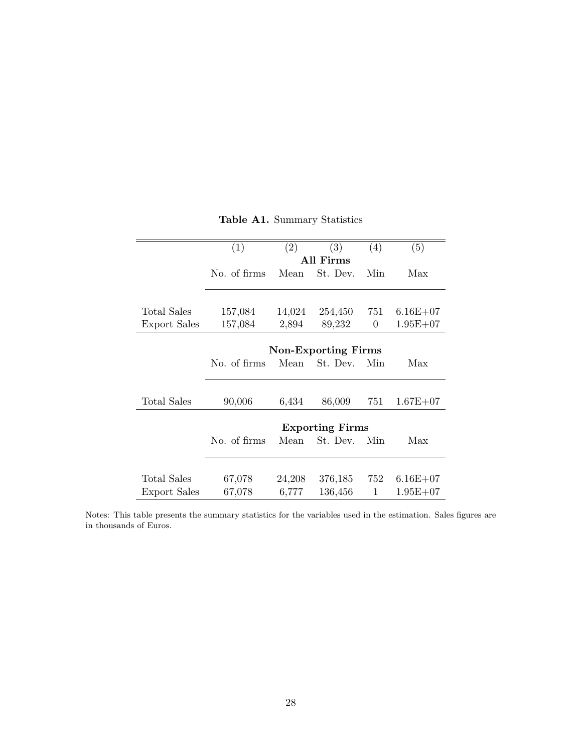|              | (1)          | (2)    | (3)                        | (4) | (5)          |
|--------------|--------------|--------|----------------------------|-----|--------------|
|              |              |        | All Firms                  |     |              |
|              | No. of firms | Mean   | St. Dev.                   | Min | Max          |
|              |              |        |                            |     |              |
| Total Sales  | 157,084      | 14,024 | 254,450                    | 751 | $6.16E + 07$ |
| Export Sales | 157,084      | 2,894  | 89,232                     | 0   | $1.95E + 07$ |
|              |              |        |                            |     |              |
|              |              |        | <b>Non-Exporting Firms</b> |     |              |
|              | No. of firms | Mean   | St. Dev.                   | Min | Max          |
|              |              |        |                            |     |              |
| Total Sales  | 90,006       | 6,434  | 86,009                     | 751 | $1.67E + 07$ |
|              |              |        |                            |     |              |
|              |              |        | <b>Exporting Firms</b>     |     |              |
|              | No. of firms | Mean   | St. Dev.                   | Min | Max          |
|              |              |        |                            |     |              |
| Total Sales  | 67,078       | 24,208 | 376,185                    | 752 | $6.16E + 07$ |
| Export Sales | 67,078       | 6,777  | 136,456                    | 1   | $1.95E + 07$ |

|  | Table A1. Summary Statistics |  |
|--|------------------------------|--|

Notes: This table presents the summary statistics for the variables used in the estimation. Sales figures are in thousands of Euros.